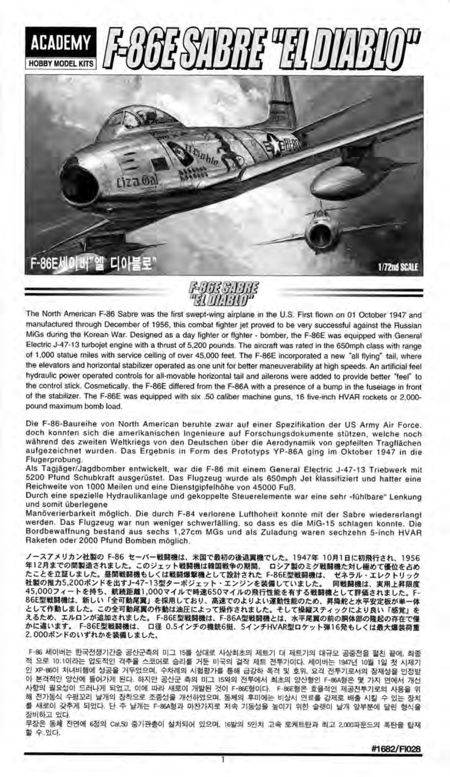





The North American F-86 Sabre was the first swept-wing airplane in the U.S. First tlown.on 01 Oclober 1947 and manufaclured through December of 1956, this combat fighter jet proved to be very successlul againsl the Russian N/iGs during the Korean War. Designed as a day Iighter or flghter - bomber, the F-86E was equipped with General Electric J-47-1 3 turbojet engine with a thrust of 5,200 pounds. The aircraft was rated in the 650mph class with range of 1,000 statue miles with seruice ceiling of over 45,000 feet. The F-86E incorporated a new "all flying" tail, where the elevators and horizonlal stabilizer operated as one unit for betler maneuverability at high speeds. An artificial feel hydraulic power operated controls for all-movable horizontal tail and ailerons were added to provide better "feel" to the conirol stick. Cosmetically. the F-86E differed from the F-86A with a presence of a bump in the fuseiage in lront of the stabilizer. The F-86E was equipped with six .50 caliber machine guns, 16 five-inch HVAR rockets or 2,000pound maximum bomb load.

Die F-86-Baureihe von North American beruhte zwar aul einer Spezifikation der US Army Air Force. doch konnten sich die amerikanischen Ingenieure auf Forschungsdokumente stützen, welche noch wahrend des zweiten Weltkriegs von den Deutschen ober die Aerodynamik von gepteilten Tragflachen aufgezeichnel wurden. Das Ergebnis in Form des Prototyps YP-86A ging im Oktober 1947 in die Flugerprobung.

Als Tagjäger/Jagdbomber entwickelt, war die F-86 mit einem General Electric J-47-13 Triebwerk mit 5200 Pfund Schubkraft ausgerüstet. Das Flugzeug wurde als 650mph Jet Rlassifiziert und hatter eine Reichweite von 1000 Meilen und eine Dienstgipfelhöhe von 45000 Fuß.

Durch eine spezielle Hydraulikanlage und gekoppelte Steuerelemente war eine sehr «fühlbare" Lenkung und somit überlegene

Manöverierbarkeit möglich. Die durch F-84 verlorene Lufthoheit konnte mit der Sabre wiedererlangt werden. Das Flugzeug war nun weniger schwertalling, so dass es die MiG-15 schlagen konnte. Die Bordbewaffnung bestand aus sechs 1,27cm MGs und als Zuladung waren sechzehn s-inch HVAR Rakelen oder 2000 Pfund Bomben moglich.

ノースアメリカン社製の F-86 セーバー戦闘機は、米国で最初の後退翼機でした。1947年 10月1日に初飛行され、1956<br>年12月までの間製造されました。このジェット戦闘機は韓国戦争の期間、 ロシア製のミグ戦闘機た対し極めて優位を占め 年12月までの間製造されま 年12月までの間製造されました。このジェット戦闘機は韓国戦争の期間、 ロシア製のミグ戦闘機た対し極めて優位を占め<br>たことを立証しました。昼間戦闘機もしくは戦闘爆撃機として設計された「-86E型戦闘機は、 ゼネラル・エレクトリック 社製の推力5,200ポンドを出すJ-47-13型ターボジェット・エンジンを装備していました。 同戦闘機は、実用上昇限度 45,000フィートを持ち、航続距離1,000マイルで時速650マイルの飛行性能を有する戦闘機として評価されました。F-<br>86E型戦闘機は、新しい「全可動尾翼」を採用しており、高速でのよりよい運動性能のため、昇降舵と水平安定板が単一体 86E型戦闘機は、新しい「全可動尾翼」を採用しており、高速でのよりよい運動性能のため、昇降舵と水平安定板が単 として作動しました。この全可動尾翼の作動は油圧によって操作されました。そして操縦スティックにより良い「感覚」を えるため、エルロンが追加されました。 F-86E型戦闘機は、F-86A型戦闘機とは、水平尾翼の前の胴体部の隆起の存在で かに違います。 F-86E型戦闘機は、 口径 0.5インチの機銃6挺、5インチHVAR型ロケット弾16発もしくは最大爆 2.000ポンドのいずれかを装備しました。

F-86 세이버는 한국전쟁기간중 공산군측의 미그 15를 상대로 사상최초의 제트기 대 제트기의 대규모 공중천을 펼친 끝에, 최종 적 으로 10:1이라는 압도적인 격추율 스코어로 승리를 거둔 미국의 걸작 제트 전투기이다. 세이버는 1947년 10월 1일 첫 시제기 인 XP-8601 처녀비행에 성공을 거두었으며, 수차례의 시험평가를 통해 급강하 폭격 및 호위, 요격 전투기로서의 잠재성을 인정받 아 본격적인 양산에 들어가게 된다. 하지만 공산군 측의 미그 15와의 전투에서 최초의 양산형인 F-86A형은 몇 가지 면에서 개선 해 전가동식 수평꼬리 날개의 장착으로 조종성을 개선하였으며, 동체의 후미에는 비상시 연료를 강제로 배출 시킬 수 있는 장치 필요성이 드러나게 되었고, 이에 따라 새로이 개발된 것이 F-86E형이다. F-86E형은 효율적인 제공전투기로의 사용을 <del>?</del> 를 새로이 갖추게 되었다. 단 주 날개는 F-86A형과 미찬가지로 저속 기동성을 높이기 위한 슬랫이 날개 앞부분에 달린 형식{ 장비하고 있다

-<br>무장은 동체 전면에 6정의 Cal5D 중기관총이 설치되어 있으며, 16발의 5인치 고속 로케트탄과 최고 2,000파운드의 폭탄을 탑재 할 수 있다.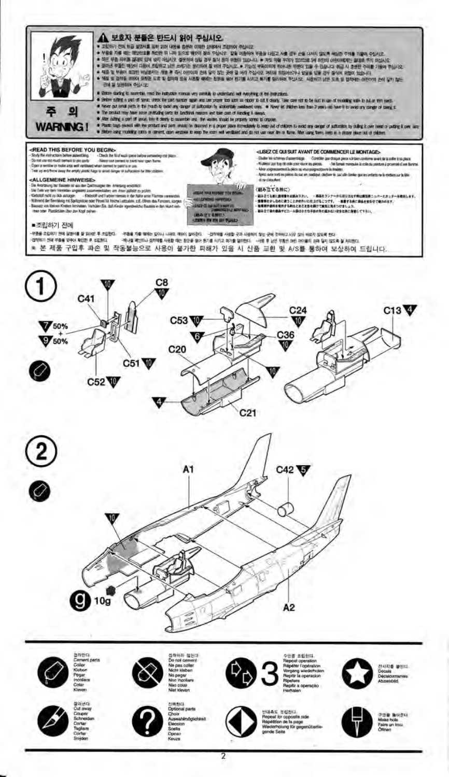

## ▲ 보호자 분들은 반드시 읽어 주십시오.

- 
- 
- 제3 및 일어나 프리카 비상으로는 크게 올 전에 이용 사회를 예약한 정보를 받아 전기를 사고 최고를 찾아보여 주신으로 사용하고 있는 또는 것 없어야 하는 그의 이 전에서 가장이 가 있다.<br>고객은 무료로 한 경험으로 담겨 넘어 시작되었던 경찰에게 이용 경제 전에 대한 경험이 있습니다. 우 차차 약을 자리고 있으므로 1세 8만의 이용이지만은 고객의 추가 이십시오.<br>그런 작은 자체를 공원으로 담겨
	- 근데 될 보관하여 주십시오.
- 
- the all accounts must be industry mean wy proble to undertake with explored the formation.<br>Below starty is such that the terms for any account of a starty of the formation care in the full mask of mate<br>Here starty and of t
	- The product may have some profitable corte for lunching resears and to<br>Have culting a part of union from it denty to succertific and the wastes
- en kamp a samme. De staand hij pape paar immakely bienp of d'eleben binad any ange of adtentin by alleg kove rend o p<br>omert, aan waxwi bienp te kam rel verbled ma di not var ren hij a form. Net vang tens verbin gevan plus . Platic bags moved win the prod.

**CREAD THIS BEFORE YOU BEGINS**<br>Shay the mixtures between the company of the lights re<u>asterf</u>áng.<br>Hil tr*ó*n serbi touke and woll verifield what commit to gain to in use.<br>Jeony he emply started high to word derive of sufficiented for the chil

### ALLGEMEINE HINWEISE>

 $e\mathbf{A}L, \mathbf{G} \mathbf{E} \mathbf{B} \mathbf{B} \mathbf{B} \mathbf{B} \mathbf{B} \mathbf{B} \mathbf{B}$ <br> $\mathbf{C} \mathbf{B} \mathbf{B} \mathbf{B} \mathbf{B} \mathbf{B} \mathbf{B} \mathbf{B} \mathbf{B} \mathbf{B} \mathbf{B} \mathbf{B} \mathbf{B} \mathbf{B} \mathbf{B} \mathbf{B} \mathbf{B} \mathbf{B} \mathbf{B} \mathbf{B} \mathbf{B} \mathbf{B} \mathbf{B} \mathbf{B} \mathbf{B} \mathbf{$ es, sarpen



#### <LISEZ CE QUI SUIT AVANT DE COMMENCER LE MONTAGE>

.<br>Elkále fel schéme d'assembloge - Contribute avechique pece súè bien conterne avec de tacefire è su pluse.<br>Multimot per trop de colé pour vous les pieces - - - Ne forme monguée la cole du pentre à proximité d'en lle **Une come Si de vitat points** a in April auto And Income is dute an oadqui dictier & sends di de Célestient

#### (組み立てる無に)

、NHVは、NHVNH)<br>- 最新年の私の設備をお願ふするい、 ・ 成員をランテーが以来分以す物は再生形とから一とカッター。<br>- 重要用をかしなのに使うことかを作いた仕上げるこうです。 一部屋する時に数を使わせて強うのます。<br>- 最高まで最も最高すとニール最はかさな子供の生の風かない気がなかれた発見してするい。

#### ■조립하기 전에

-무용을 조합하기 전에 실행사를 할 위어와 후 조합합니다. - 이름을 기술 '패어는 같이서 나타보 '패어 실버운드! - 그런데에를 사용할 곳과 사람하지 찾는 곳에 주머하고 나무 같이 바르지 않으며 한다<br>-무용을 조합하기 전에 실행사를 할 위어와 후 조합합니다. - 이러나를 제공해 사용하는 사람들은 이러한 사람들이 이러한 사용을 이용한다. - 사람 후 남은 부품은 어떤 자이들이 손에 달리 필요로 \* 본 제품 구입후 파손 및 작동불능으로 사용이 불가한 피해가 있을 시 신품 교환 및 A/S를 통하여 보상하여 드립니다.













i도 운립한다.<br>at lot opposite sa<br>thion de la page<br>thion de la page







?

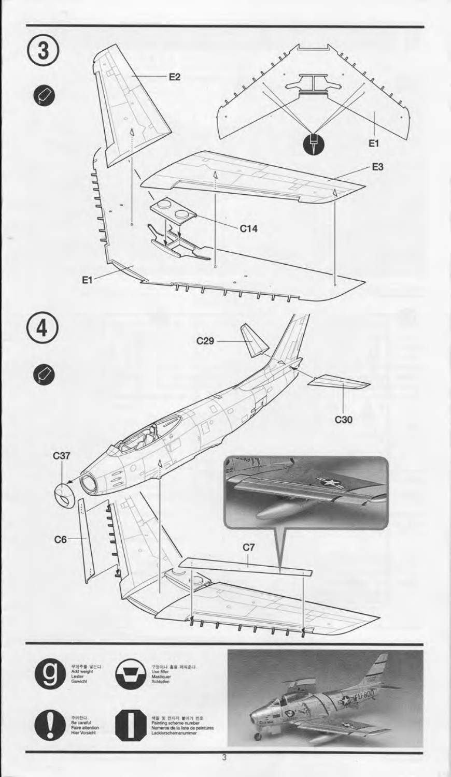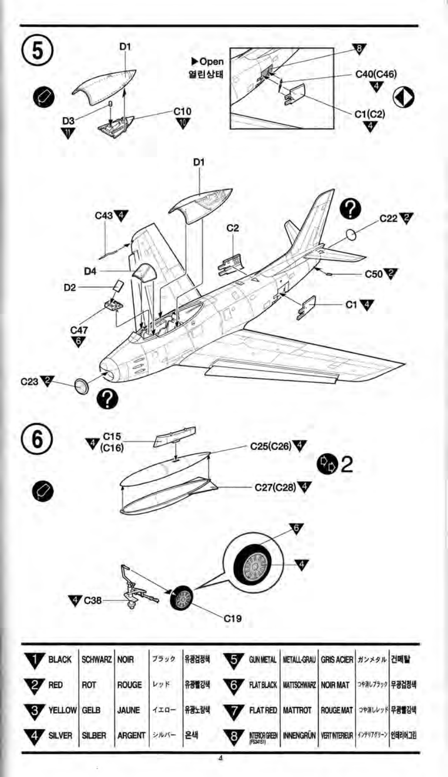





Ø





|              |                        |                              |  |  | BLACK SCHWARZ NOIR 7590 RELATED GUNNETAL METALL-GRAU GRIS ACIER #2250 ZUME     |  |  |
|--------------|------------------------|------------------------------|--|--|--------------------------------------------------------------------------------|--|--|
| <b>V</b> RED |                        | ROT                          |  |  | ROUGE   レッド   유광별강색   THE RATBLACK   MATTSCHWARZ   NOIR MAT   0421/799   무광검정색 |  |  |
|              | <b>ASK</b> AEITOM GETB |                              |  |  | JAUNE 120- RELEVE TATRED MATTROT ROUGEMAT SPAULD REPERT                        |  |  |
|              |                        | SILVER SILBER ARGENT 2NA- 24 |  |  | MERORGHEN INNENGRÜN VERT NIEREUR 4279729-2 21821013                            |  |  |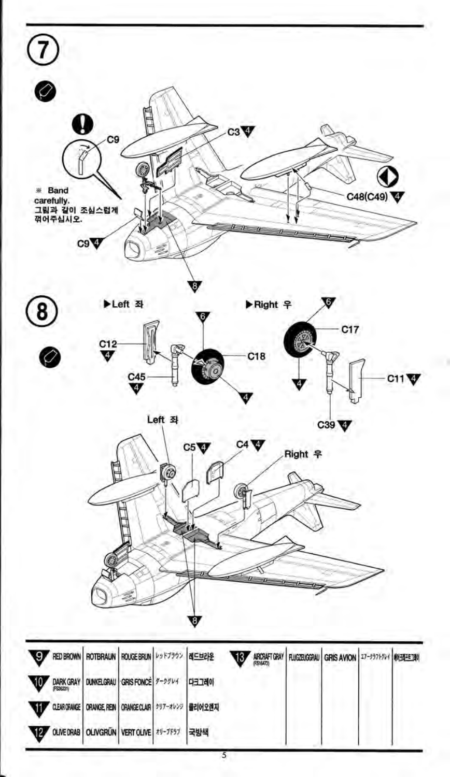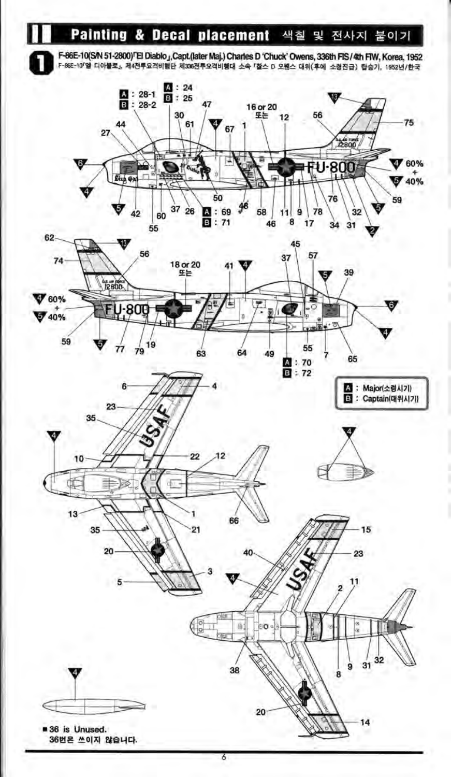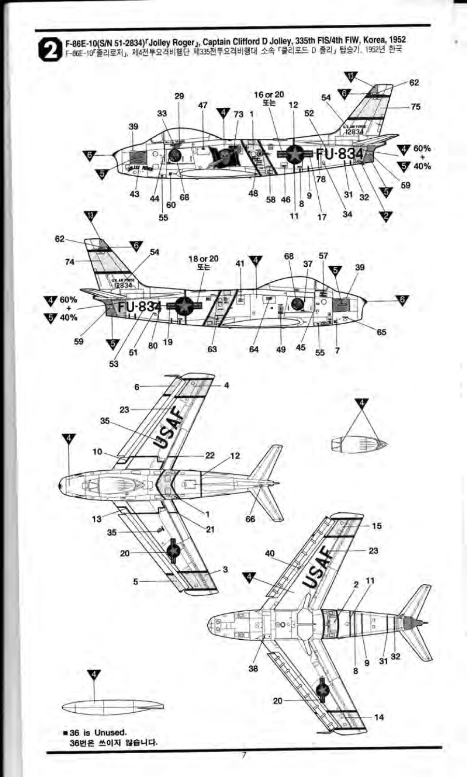